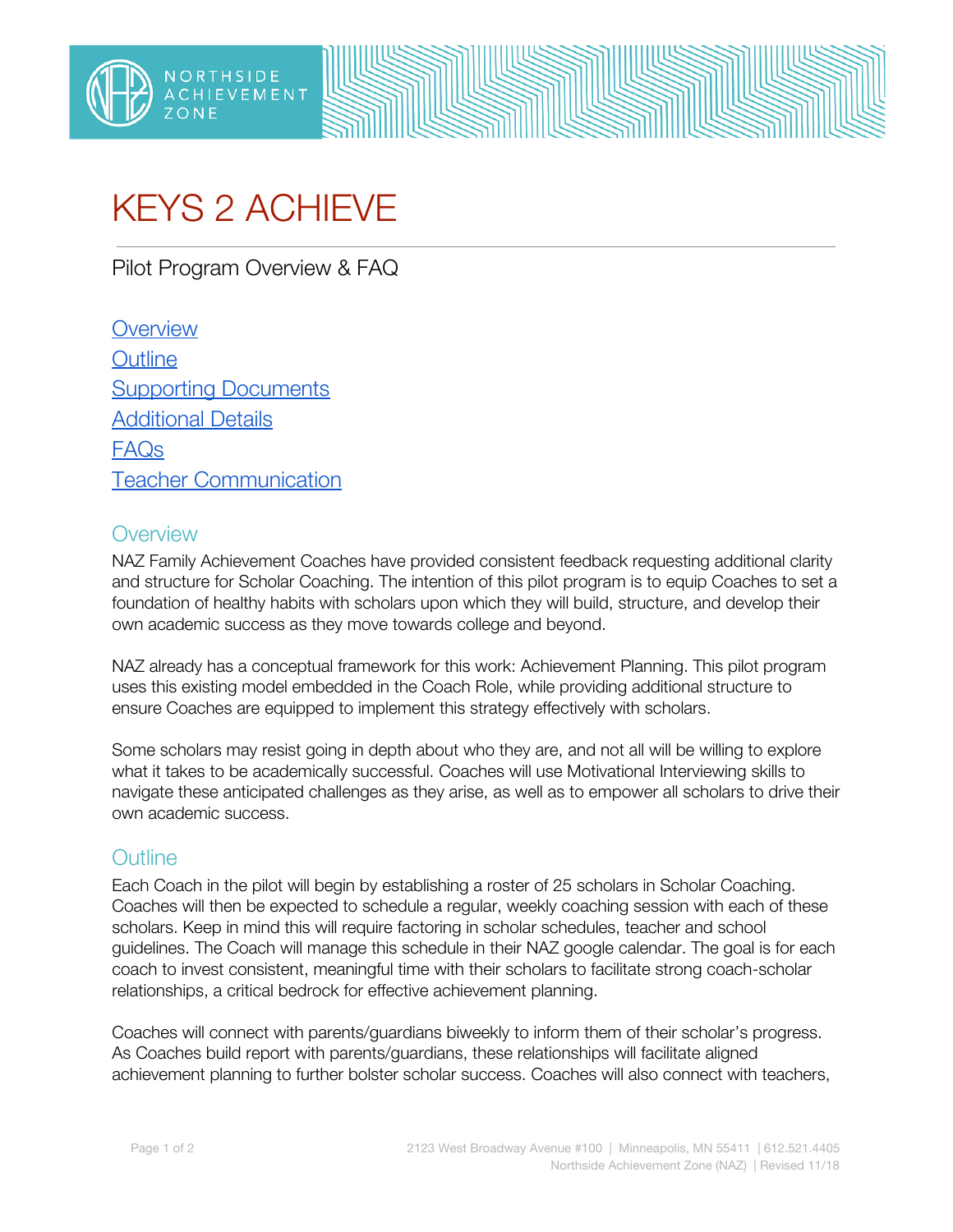



Pilot Program Overview & FAQ

**[Overview](#page-0-0) [Outline](#page-0-1) Supporting [Documents](#page-1-0)** [Additional](#page-1-1) Details [FAQs](#page-2-0) Teacher [Communication](#page-3-0)

### <span id="page-0-0"></span>**Overview**

NAZ Family Achievement Coaches have provided consistent feedback requesting additional clarity and structure for Scholar Coaching. The intention of this pilot program is to equip Coaches to set a foundation of healthy habits with scholars upon which they will build, structure, and develop their own academic success as they move towards college and beyond.

NAZ already has a conceptual framework for this work: Achievement Planning. This pilot program uses this existing model embedded in the Coach Role, while providing additional structure to ensure Coaches are equipped to implement this strategy effectively with scholars.

Some scholars may resist going in depth about who they are, and not all will be willing to explore what it takes to be academically successful. Coaches will use Motivational Interviewing skills to navigate these anticipated challenges as they arise, as well as to empower all scholars to drive their own academic success.

#### <span id="page-0-1"></span>**Outline**

Each Coach in the pilot will begin by establishing a roster of 25 scholars in Scholar Coaching. Coaches will then be expected to schedule a regular, weekly coaching session with each of these scholars. Keep in mind this will require factoring in scholar schedules, teacher and school guidelines. The Coach will manage this schedule in their NAZ google calendar. The goal is for each coach to invest consistent, meaningful time with their scholars to facilitate strong coach-scholar relationships, a critical bedrock for effective achievement planning.

Coaches will connect with parents/guardians biweekly to inform them of their scholar's progress. As Coaches build report with parents/guardians, these relationships will facilitate aligned achievement planning to further bolster scholar success. Coaches will also connect with teachers,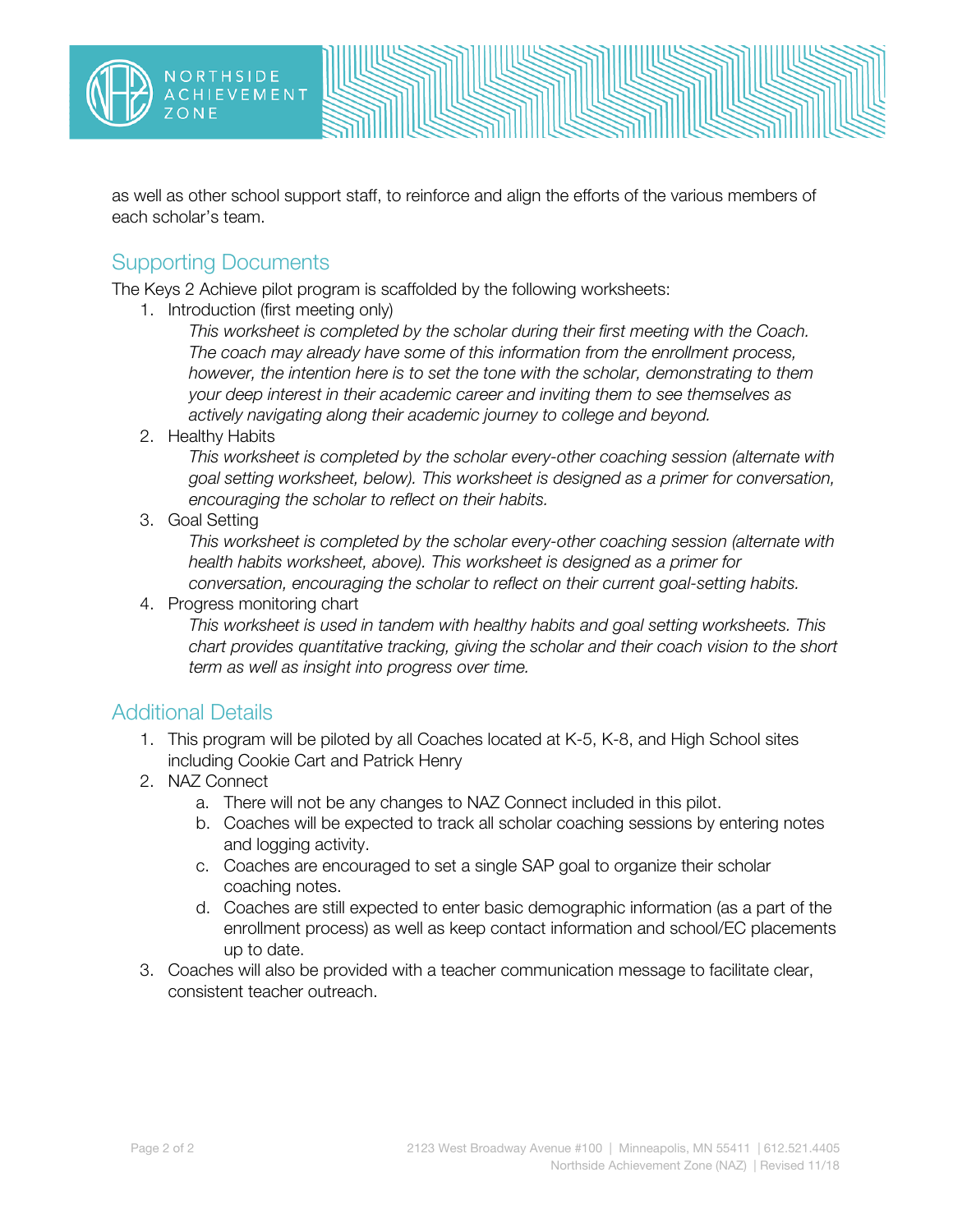

as well as other school support staff, to reinforce and align the efforts of the various members of each scholar's team.

#### <span id="page-1-0"></span>Supporting Documents

The Keys 2 Achieve pilot program is scaffolded by the following worksheets:

1. Introduction (first meeting only)

*This worksheet is completed by the scholar during their first meeting with the Coach. The coach may already have some of this information from the enrollment process, however, the intention here is to set the tone with the scholar, demonstrating to them your deep interest in their academic career and inviting them to see themselves as actively navigating along their academic journey to college and beyond.*

2. Healthy Habits

*This worksheet is completed by the scholar every-other coaching session (alternate with goal setting worksheet, below). This worksheet is designed as a primer for conversation, encouraging the scholar to reflect on their habits.*

3. Goal Setting

*This worksheet is completed by the scholar every-other coaching session (alternate with health habits worksheet, above). This worksheet is designed as a primer for conversation, encouraging the scholar to reflect on their current goal-setting habits.*

4. Progress monitoring chart

*This worksheet is used in tandem with healthy habits and goal setting worksheets. This chart provides quantitative tracking, giving the scholar and their coach vision to the short term as well as insight into progress over time.*

## <span id="page-1-1"></span>Additional Details

- 1. This program will be piloted by all Coaches located at K-5, K-8, and High School sites including Cookie Cart and Patrick Henry
- 2. NAZ Connect
	- a. There will not be any changes to NAZ Connect included in this pilot.
	- b. Coaches will be expected to track all scholar coaching sessions by entering notes and logging activity.
	- c. Coaches are encouraged to set a single SAP goal to organize their scholar coaching notes.
	- d. Coaches are still expected to enter basic demographic information (as a part of the enrollment process) as well as keep contact information and school/EC placements up to date.
- 3. Coaches will also be provided with a teacher communication message to facilitate clear, consistent teacher outreach.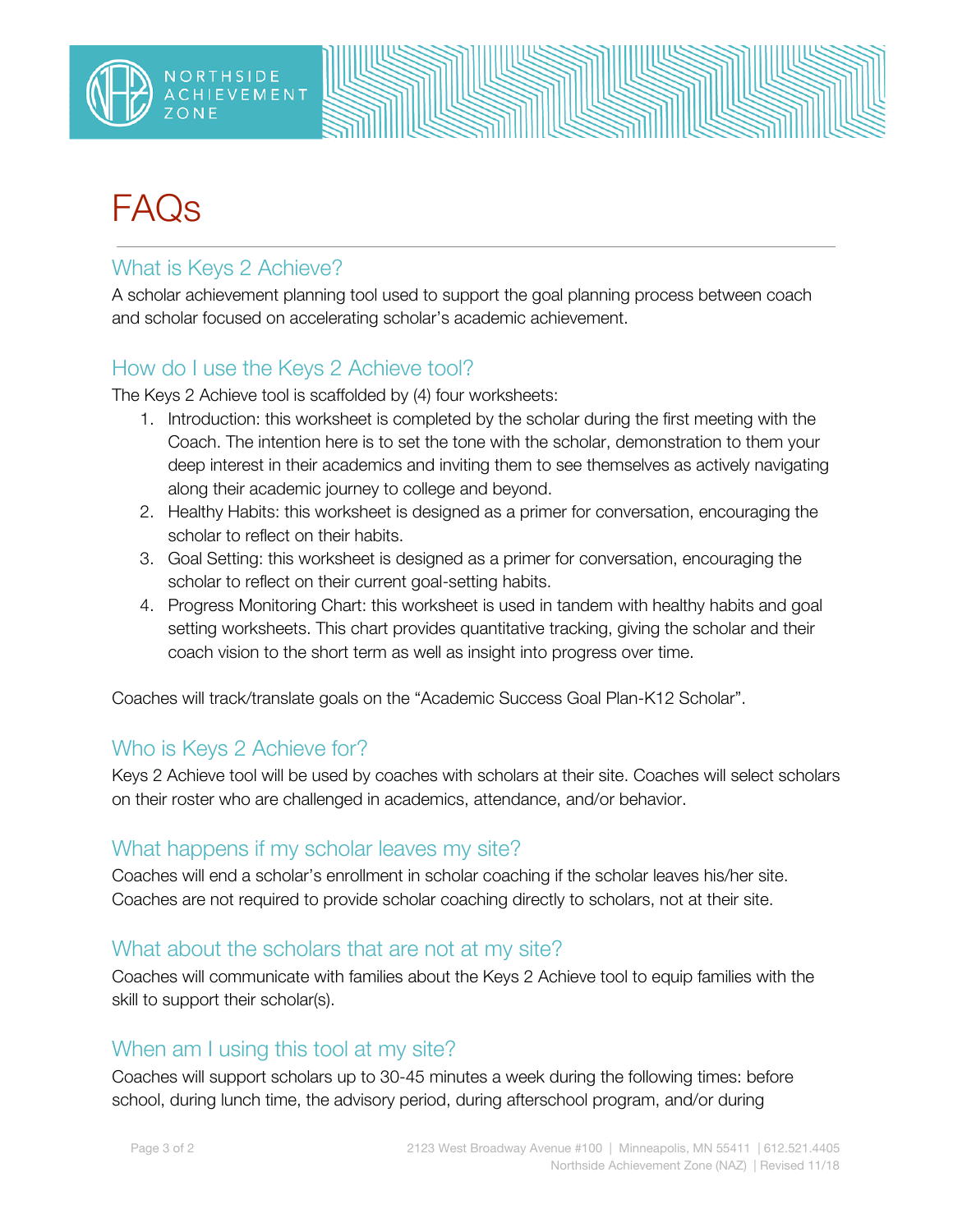

# <span id="page-2-0"></span>FAQs

## What is Keys 2 Achieve?

A scholar achievement planning tool used to support the goal planning process between coach and scholar focused on accelerating scholar's academic achievement.

## How do I use the Keys 2 Achieve tool?

The Keys 2 Achieve tool is scaffolded by (4) four worksheets:

- 1. Introduction: this worksheet is completed by the scholar during the first meeting with the Coach. The intention here is to set the tone with the scholar, demonstration to them your deep interest in their academics and inviting them to see themselves as actively navigating along their academic journey to college and beyond.
- 2. Healthy Habits: this worksheet is designed as a primer for conversation, encouraging the scholar to reflect on their habits.
- 3. Goal Setting: this worksheet is designed as a primer for conversation, encouraging the scholar to reflect on their current goal-setting habits.
- 4. Progress Monitoring Chart: this worksheet is used in tandem with healthy habits and goal setting worksheets. This chart provides quantitative tracking, giving the scholar and their coach vision to the short term as well as insight into progress over time.

Coaches will track/translate goals on the "Academic Success Goal Plan-K12 Scholar".

## Who is Keys 2 Achieve for?

Keys 2 Achieve tool will be used by coaches with scholars at their site. Coaches will select scholars on their roster who are challenged in academics, attendance, and/or behavior.

#### What happens if my scholar leaves my site?

Coaches will end a scholar's enrollment in scholar coaching if the scholar leaves his/her site. Coaches are not required to provide scholar coaching directly to scholars, not at their site.

#### What about the scholars that are not at my site?

Coaches will communicate with families about the Keys 2 Achieve tool to equip families with the skill to support their scholar(s).

#### When am I using this tool at my site?

Coaches will support scholars up to 30-45 minutes a week during the following times: before school, during lunch time, the advisory period, during afterschool program, and/or during